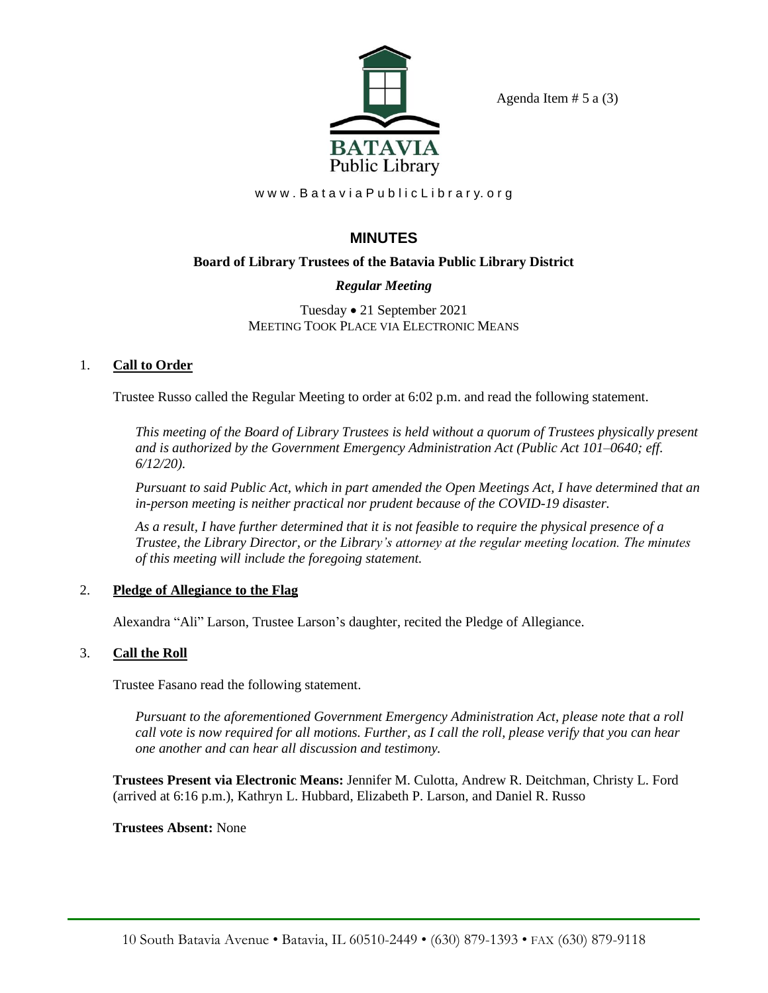

Agenda Item  $# 5$  a  $(3)$ 

www.BataviaPublicLibrary.org

# **MINUTES**

## **Board of Library Trustees of the Batavia Public Library District**

## *Regular Meeting*

Tuesday • 21 September 2021 MEETING TOOK PLACE VIA ELECTRONIC MEANS

## 1. **Call to Order**

Trustee Russo called the Regular Meeting to order at 6:02 p.m. and read the following statement.

*This meeting of the Board of Library Trustees is held without a quorum of Trustees physically present and is authorized by the Government Emergency Administration Act (Public Act 101–0640; eff. 6/12/20).*

*Pursuant to said Public Act, which in part amended the Open Meetings Act, I have determined that an in-person meeting is neither practical nor prudent because of the COVID-19 disaster.*

*As a result, I have further determined that it is not feasible to require the physical presence of a Trustee, the Library Director, or the Library's attorney at the regular meeting location. The minutes of this meeting will include the foregoing statement.*

## 2. **Pledge of Allegiance to the Flag**

Alexandra "Ali" Larson, Trustee Larson's daughter, recited the Pledge of Allegiance.

## 3. **Call the Roll**

Trustee Fasano read the following statement.

*Pursuant to the aforementioned Government Emergency Administration Act, please note that a roll call vote is now required for all motions. Further, as I call the roll, please verify that you can hear one another and can hear all discussion and testimony.*

**Trustees Present via Electronic Means:** Jennifer M. Culotta, Andrew R. Deitchman, Christy L. Ford (arrived at 6:16 p.m.), Kathryn L. Hubbard, Elizabeth P. Larson, and Daniel R. Russo

## **Trustees Absent:** None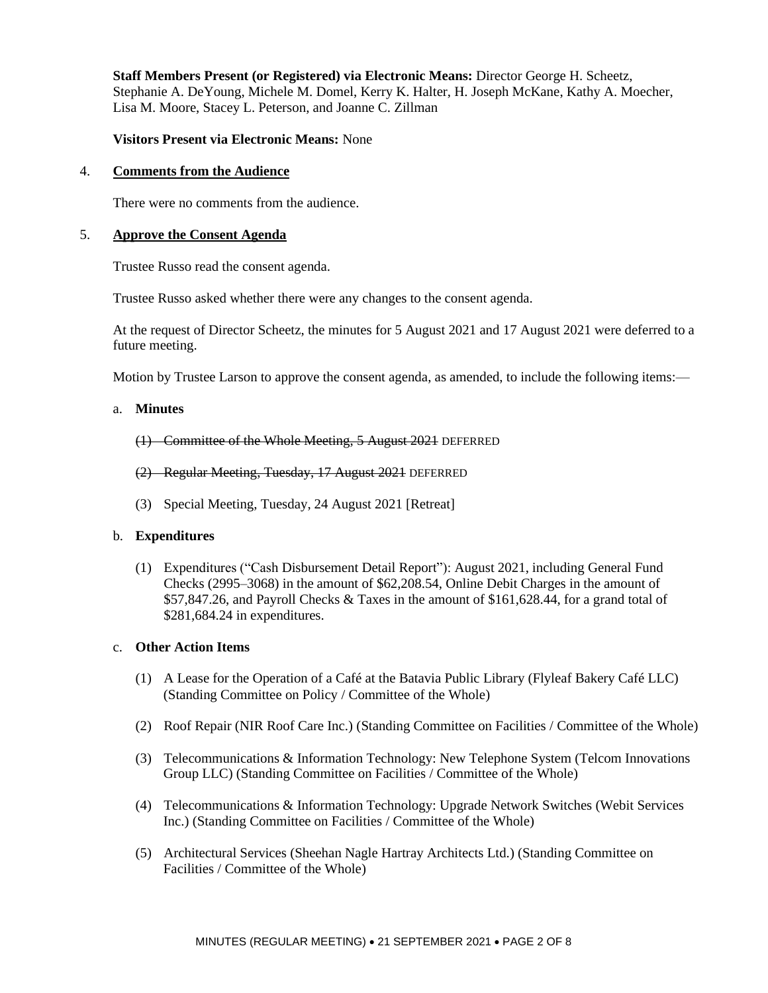**Staff Members Present (or Registered) via Electronic Means:** Director George H. Scheetz, Stephanie A. DeYoung, Michele M. Domel, Kerry K. Halter, H. Joseph McKane, Kathy A. Moecher, Lisa M. Moore, Stacey L. Peterson, and Joanne C. Zillman

#### **Visitors Present via Electronic Means:** None

#### 4. **Comments from the Audience**

There were no comments from the audience.

#### 5. **Approve the Consent Agenda**

Trustee Russo read the consent agenda.

Trustee Russo asked whether there were any changes to the consent agenda.

At the request of Director Scheetz, the minutes for 5 August 2021 and 17 August 2021 were deferred to a future meeting.

Motion by Trustee Larson to approve the consent agenda, as amended, to include the following items:—

#### a. **Minutes**

- (1) Committee of the Whole Meeting, 5 August 2021 DEFERRED
- (2) Regular Meeting, Tuesday, 17 August 2021 DEFERRED
- (3) Special Meeting, Tuesday, 24 August 2021 [Retreat]

#### b. **Expenditures**

(1) Expenditures ("Cash Disbursement Detail Report"): August 2021, including General Fund Checks (2995–3068) in the amount of \$62,208.54, Online Debit Charges in the amount of \$57,847.26, and Payroll Checks & Taxes in the amount of \$161,628.44, for a grand total of \$281,684.24 in expenditures.

#### c. **Other Action Items**

- (1) A Lease for the Operation of a Café at the Batavia Public Library (Flyleaf Bakery Café LLC) (Standing Committee on Policy / Committee of the Whole)
- (2) Roof Repair (NIR Roof Care Inc.) (Standing Committee on Facilities / Committee of the Whole)
- (3) Telecommunications & Information Technology: New Telephone System (Telcom Innovations Group LLC) (Standing Committee on Facilities / Committee of the Whole)
- (4) Telecommunications & Information Technology: Upgrade Network Switches (Webit Services Inc.) (Standing Committee on Facilities / Committee of the Whole)
- (5) Architectural Services (Sheehan Nagle Hartray Architects Ltd.) (Standing Committee on Facilities / Committee of the Whole)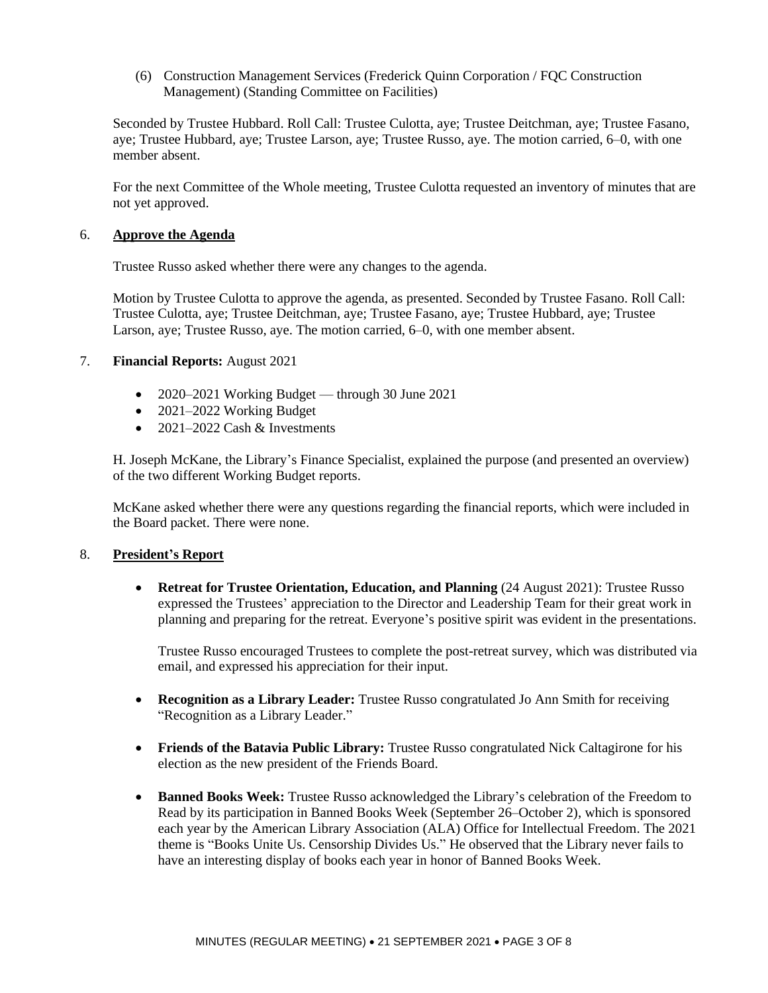(6) Construction Management Services (Frederick Quinn Corporation / FQC Construction Management) (Standing Committee on Facilities)

Seconded by Trustee Hubbard. Roll Call: Trustee Culotta, aye; Trustee Deitchman, aye; Trustee Fasano, aye; Trustee Hubbard, aye; Trustee Larson, aye; Trustee Russo, aye. The motion carried, 6–0, with one member absent.

For the next Committee of the Whole meeting, Trustee Culotta requested an inventory of minutes that are not yet approved.

#### 6. **Approve the Agenda**

Trustee Russo asked whether there were any changes to the agenda.

Motion by Trustee Culotta to approve the agenda, as presented. Seconded by Trustee Fasano. Roll Call: Trustee Culotta, aye; Trustee Deitchman, aye; Trustee Fasano, aye; Trustee Hubbard, aye; Trustee Larson, aye; Trustee Russo, aye. The motion carried, 6–0, with one member absent.

#### 7. **Financial Reports:** August 2021

- 2020–2021 Working Budget through 30 June 2021
- 2021–2022 Working Budget
- $2021-2022$  Cash & Investments

H. Joseph McKane, the Library's Finance Specialist, explained the purpose (and presented an overview) of the two different Working Budget reports.

McKane asked whether there were any questions regarding the financial reports, which were included in the Board packet. There were none.

### 8. **President's Report**

• **Retreat for Trustee Orientation, Education, and Planning** (24 August 2021): Trustee Russo expressed the Trustees' appreciation to the Director and Leadership Team for their great work in planning and preparing for the retreat. Everyone's positive spirit was evident in the presentations.

Trustee Russo encouraged Trustees to complete the post-retreat survey, which was distributed via email, and expressed his appreciation for their input.

- **Recognition as a Library Leader:** Trustee Russo congratulated Jo Ann Smith for receiving "Recognition as a Library Leader."
- **Friends of the Batavia Public Library:** Trustee Russo congratulated Nick Caltagirone for his election as the new president of the Friends Board.
- **Banned Books Week:** Trustee Russo acknowledged the Library's celebration of the Freedom to Read by its participation in Banned Books Week (September 26–October 2), which is sponsored each year by the American Library Association (ALA) Office for Intellectual Freedom. The 2021 theme is "Books Unite Us. Censorship Divides Us." He observed that the Library never fails to have an interesting display of books each year in honor of Banned Books Week.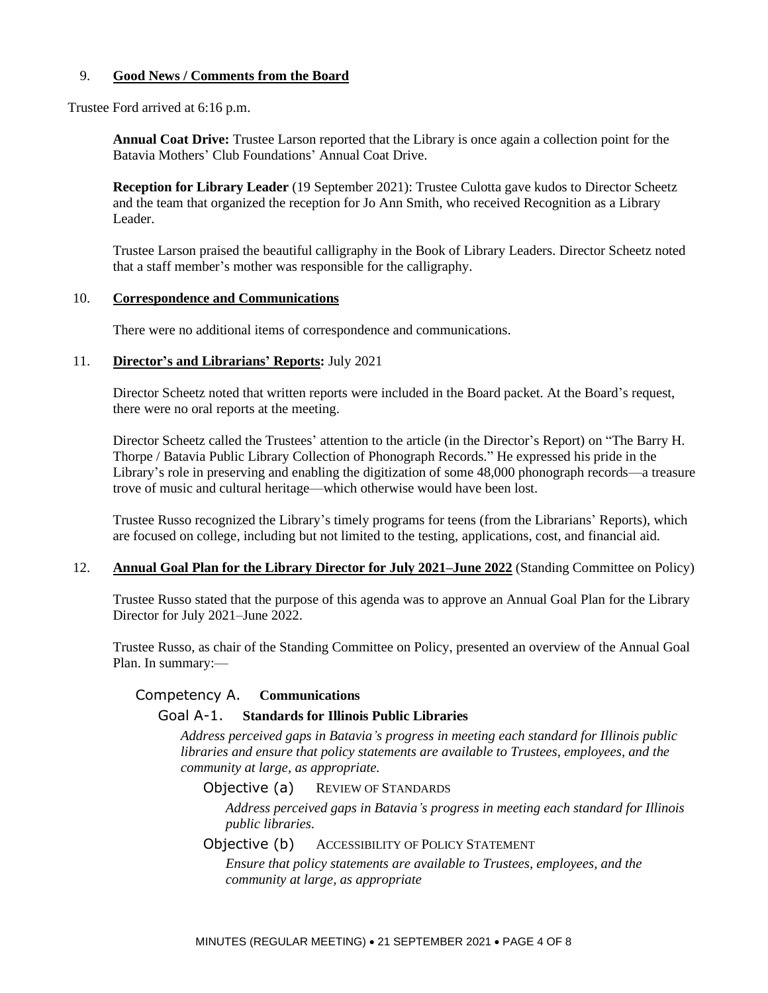### 9. **Good News / Comments from the Board**

Trustee Ford arrived at 6:16 p.m.

**Annual Coat Drive:** Trustee Larson reported that the Library is once again a collection point for the Batavia Mothers' Club Foundations' Annual Coat Drive.

**Reception for Library Leader** (19 September 2021): Trustee Culotta gave kudos to Director Scheetz and the team that organized the reception for Jo Ann Smith, who received Recognition as a Library Leader.

Trustee Larson praised the beautiful calligraphy in the Book of Library Leaders. Director Scheetz noted that a staff member's mother was responsible for the calligraphy.

#### 10. **Correspondence and Communications**

There were no additional items of correspondence and communications.

#### 11. **Director's and Librarians' Reports:** July 2021

Director Scheetz noted that written reports were included in the Board packet. At the Board's request, there were no oral reports at the meeting.

Director Scheetz called the Trustees' attention to the article (in the Director's Report) on "The Barry H. Thorpe / Batavia Public Library Collection of Phonograph Records." He expressed his pride in the Library's role in preserving and enabling the digitization of some 48,000 phonograph records—a treasure trove of music and cultural heritage—which otherwise would have been lost.

Trustee Russo recognized the Library's timely programs for teens (from the Librarians' Reports), which are focused on college, including but not limited to the testing, applications, cost, and financial aid.

#### 12. **Annual Goal Plan for the Library Director for July 2021–June 2022** (Standing Committee on Policy)

Trustee Russo stated that the purpose of this agenda was to approve an Annual Goal Plan for the Library Director for July 2021–June 2022.

Trustee Russo, as chair of the Standing Committee on Policy, presented an overview of the Annual Goal Plan. In summary:—

### Competency A. **Communications**

### Goal A-1. **Standards for Illinois Public Libraries**

*Address perceived gaps in Batavia's progress in meeting each standard for Illinois public libraries and ensure that policy statements are available to Trustees, employees, and the community at large, as appropriate.*

Objective (a) REVIEW OF STANDARDS

*Address perceived gaps in Batavia's progress in meeting each standard for Illinois public libraries.*

Objective (b) ACCESSIBILITY OF POLICY STATEMENT

*Ensure that policy statements are available to Trustees, employees, and the community at large, as appropriate*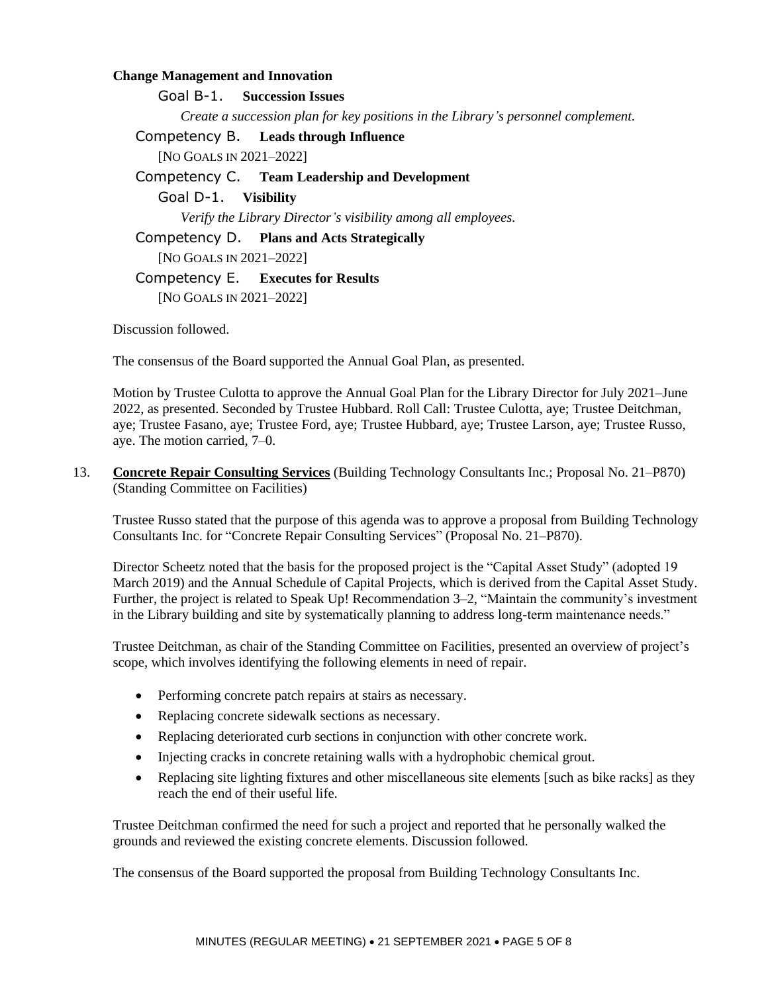### **Change Management and Innovation**

Goal B-1. **Succession Issues** *Create a succession plan for key positions in the Library's personnel complement.*

## Competency B. **Leads through Influence**

[NO GOALS IN 2021–2022]

### Competency C. **Team Leadership and Development**

Goal D-1. **Visibility**

*Verify the Library Director's visibility among all employees.*

Competency D. **Plans and Acts Strategically**

[NO GOALS IN 2021–2022]

### Competency E. **Executes for Results**

[NO GOALS IN 2021–2022]

Discussion followed.

The consensus of the Board supported the Annual Goal Plan, as presented.

Motion by Trustee Culotta to approve the Annual Goal Plan for the Library Director for July 2021–June 2022, as presented. Seconded by Trustee Hubbard. Roll Call: Trustee Culotta, aye; Trustee Deitchman, aye; Trustee Fasano, aye; Trustee Ford, aye; Trustee Hubbard, aye; Trustee Larson, aye; Trustee Russo, aye. The motion carried, 7–0.

13. **Concrete Repair Consulting Services** (Building Technology Consultants Inc.; Proposal No. 21–P870) (Standing Committee on Facilities)

Trustee Russo stated that the purpose of this agenda was to approve a proposal from Building Technology Consultants Inc. for "Concrete Repair Consulting Services" (Proposal No. 21–P870).

Director Scheetz noted that the basis for the proposed project is the "Capital Asset Study" (adopted 19 March 2019) and the Annual Schedule of Capital Projects, which is derived from the Capital Asset Study. Further, the project is related to Speak Up! Recommendation 3–2, "Maintain the community's investment in the Library building and site by systematically planning to address long-term maintenance needs."

Trustee Deitchman, as chair of the Standing Committee on Facilities, presented an overview of project's scope, which involves identifying the following elements in need of repair.

- Performing concrete patch repairs at stairs as necessary.
- Replacing concrete sidewalk sections as necessary.
- Replacing deteriorated curb sections in conjunction with other concrete work.
- Injecting cracks in concrete retaining walls with a hydrophobic chemical grout.
- Replacing site lighting fixtures and other miscellaneous site elements [such as bike racks] as they reach the end of their useful life.

Trustee Deitchman confirmed the need for such a project and reported that he personally walked the grounds and reviewed the existing concrete elements. Discussion followed.

The consensus of the Board supported the proposal from Building Technology Consultants Inc.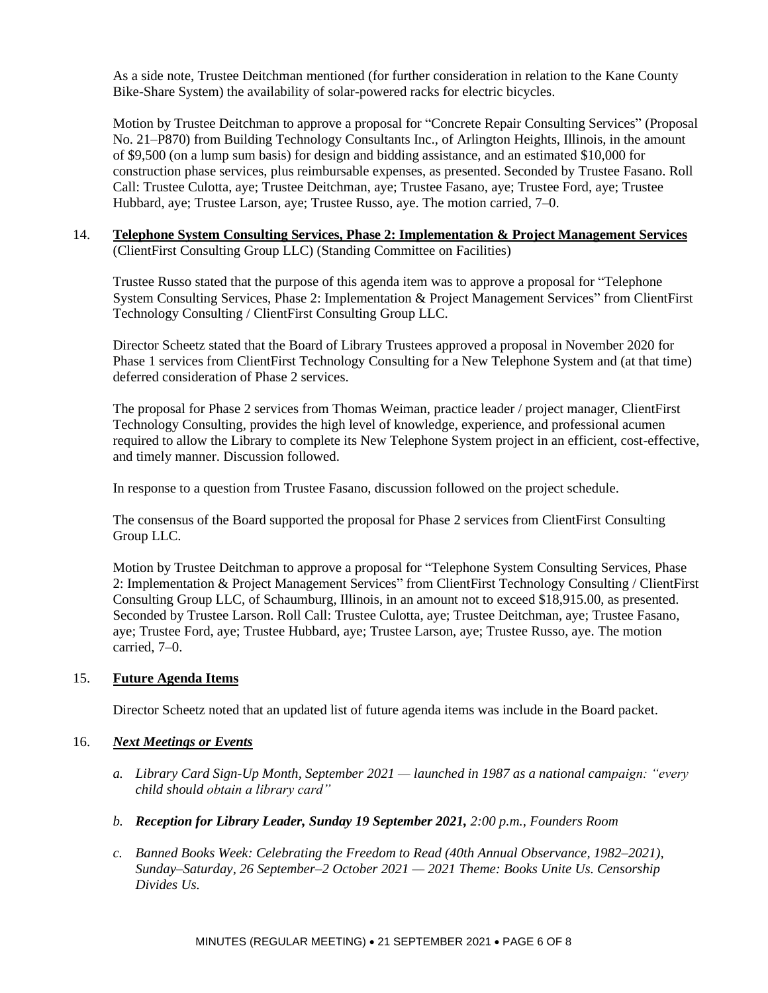As a side note, Trustee Deitchman mentioned (for further consideration in relation to the Kane County Bike-Share System) the availability of solar-powered racks for electric bicycles.

Motion by Trustee Deitchman to approve a proposal for "Concrete Repair Consulting Services" (Proposal No. 21–P870) from Building Technology Consultants Inc., of Arlington Heights, Illinois, in the amount of \$9,500 (on a lump sum basis) for design and bidding assistance, and an estimated \$10,000 for construction phase services, plus reimbursable expenses, as presented. Seconded by Trustee Fasano. Roll Call: Trustee Culotta, aye; Trustee Deitchman, aye; Trustee Fasano, aye; Trustee Ford, aye; Trustee Hubbard, aye; Trustee Larson, aye; Trustee Russo, aye. The motion carried, 7–0.

14. **Telephone System Consulting Services, Phase 2: Implementation & Project Management Services** (ClientFirst Consulting Group LLC) (Standing Committee on Facilities)

Trustee Russo stated that the purpose of this agenda item was to approve a proposal for "Telephone System Consulting Services, Phase 2: Implementation & Project Management Services" from ClientFirst Technology Consulting / ClientFirst Consulting Group LLC.

Director Scheetz stated that the Board of Library Trustees approved a proposal in November 2020 for Phase 1 services from ClientFirst Technology Consulting for a New Telephone System and (at that time) deferred consideration of Phase 2 services.

The proposal for Phase 2 services from Thomas Weiman, practice leader / project manager, ClientFirst Technology Consulting, provides the high level of knowledge, experience, and professional acumen required to allow the Library to complete its New Telephone System project in an efficient, cost-effective, and timely manner. Discussion followed.

In response to a question from Trustee Fasano, discussion followed on the project schedule.

The consensus of the Board supported the proposal for Phase 2 services from ClientFirst Consulting Group LLC.

Motion by Trustee Deitchman to approve a proposal for "Telephone System Consulting Services, Phase 2: Implementation & Project Management Services" from ClientFirst Technology Consulting / ClientFirst Consulting Group LLC, of Schaumburg, Illinois, in an amount not to exceed \$18,915.00, as presented. Seconded by Trustee Larson. Roll Call: Trustee Culotta, aye; Trustee Deitchman, aye; Trustee Fasano, aye; Trustee Ford, aye; Trustee Hubbard, aye; Trustee Larson, aye; Trustee Russo, aye. The motion carried, 7–0.

### 15. **Future Agenda Items**

Director Scheetz noted that an updated list of future agenda items was include in the Board packet.

### 16. *Next Meetings or Events*

- *a. Library Card Sign-Up Month, September 2021 — launched in 1987 as a national campaign: "every child should obtain a library card"*
- *b. Reception for Library Leader, Sunday 19 September 2021, 2:00 p.m., Founders Room*
- *c. Banned Books Week: Celebrating the Freedom to Read (40th Annual Observance, 1982–2021), Sunday–Saturday, 26 September–2 October 2021 — 2021 Theme: Books Unite Us. Censorship Divides Us.*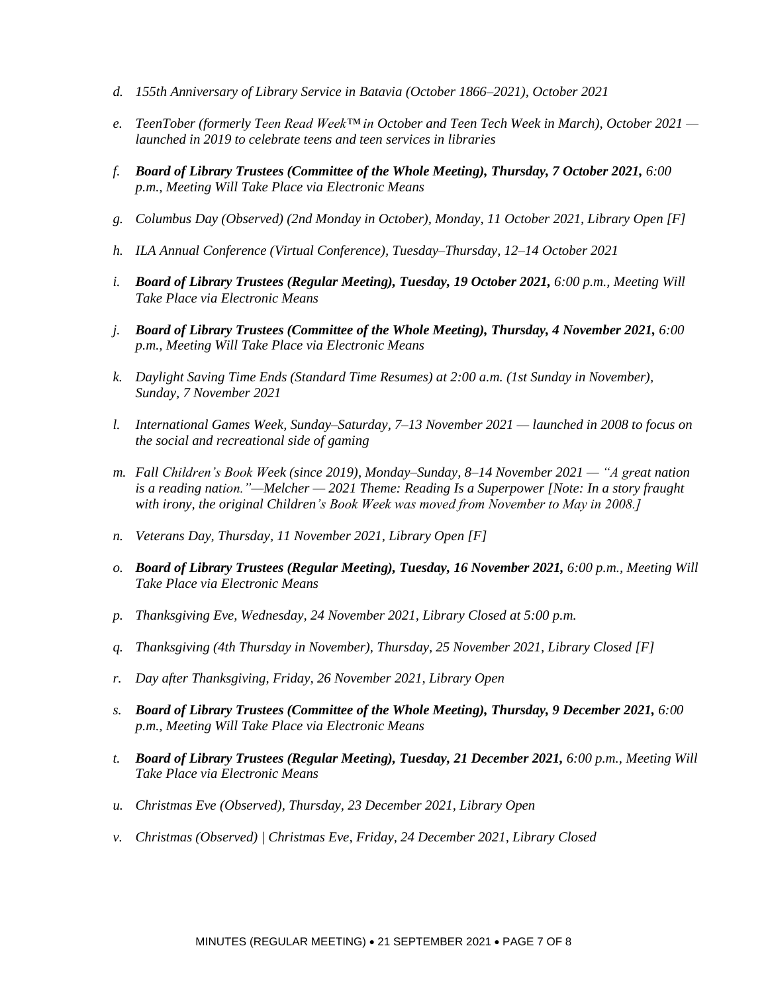- *d. 155th Anniversary of Library Service in Batavia (October 1866–2021), October 2021*
- *e. TeenTober (formerly Teen Read Week™ in October and Teen Tech Week in March), October 2021 launched in 2019 to celebrate teens and teen services in libraries*
- *f. Board of Library Trustees (Committee of the Whole Meeting), Thursday, 7 October 2021, 6:00 p.m., Meeting Will Take Place via Electronic Means*
- *g. Columbus Day (Observed) (2nd Monday in October), Monday, 11 October 2021, Library Open [F]*
- *h. ILA Annual Conference (Virtual Conference), Tuesday–Thursday, 12–14 October 2021*
- *i. Board of Library Trustees (Regular Meeting), Tuesday, 19 October 2021, 6:00 p.m., Meeting Will Take Place via Electronic Means*
- *j. Board of Library Trustees (Committee of the Whole Meeting), Thursday, 4 November 2021, 6:00 p.m., Meeting Will Take Place via Electronic Means*
- *k. Daylight Saving Time Ends (Standard Time Resumes) at 2:00 a.m. (1st Sunday in November), Sunday, 7 November 2021*
- *l. International Games Week, Sunday–Saturday, 7–13 November 2021 — launched in 2008 to focus on the social and recreational side of gaming*
- *m. Fall Children's Book Week (since 2019), Monday–Sunday, 8–14 November 2021 — "A great nation is a reading nation."—Melcher — 2021 Theme: Reading Is a Superpower [Note: In a story fraught with irony, the original Children's Book Week was moved from November to May in 2008.]*
- *n. Veterans Day, Thursday, 11 November 2021, Library Open [F]*
- *o. Board of Library Trustees (Regular Meeting), Tuesday, 16 November 2021, 6:00 p.m., Meeting Will Take Place via Electronic Means*
- *p. Thanksgiving Eve, Wednesday, 24 November 2021, Library Closed at 5:00 p.m.*
- *q. Thanksgiving (4th Thursday in November), Thursday, 25 November 2021, Library Closed [F]*
- *r. Day after Thanksgiving, Friday, 26 November 2021, Library Open*
- *s. Board of Library Trustees (Committee of the Whole Meeting), Thursday, 9 December 2021, 6:00 p.m., Meeting Will Take Place via Electronic Means*
- *t. Board of Library Trustees (Regular Meeting), Tuesday, 21 December 2021, 6:00 p.m., Meeting Will Take Place via Electronic Means*
- *u. Christmas Eve (Observed), Thursday, 23 December 2021, Library Open*
- *v. Christmas (Observed) | Christmas Eve, Friday, 24 December 2021, Library Closed*